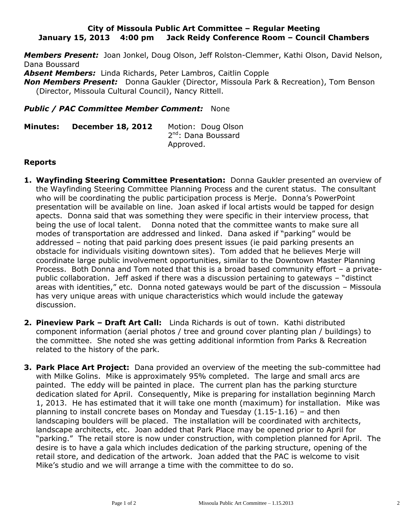### **City of Missoula Public Art Committee – Regular Meeting January 15, 2013 4:00 pm Jack Reidy Conference Room – Council Chambers**

*Members Present:* Joan Jonkel, Doug Olson, Jeff Rolston-Clemmer, Kathi Olson, David Nelson, Dana Boussard

*Absent Members:* Linda Richards, Peter Lambros, Caitlin Copple

*Non Members Present:* Donna Gaukler (Director, Missoula Park & Recreation), Tom Benson (Director, Missoula Cultural Council), Nancy Rittell.

### *Public / PAC Committee Member Comment:* None

**Minutes: December 18, 2012** Motion: Doug Olson 2<sup>nd</sup>: Dana Boussard Approved.

### **Reports**

- **1. Wayfinding Steering Committee Presentation:** Donna Gaukler presented an overview of the Wayfinding Steering Committee Planning Process and the curent status. The consultant who will be coordinating the public participation process is Merje. Donna's PowerPoint presentation will be available on line. Joan asked if local artists would be tapped for design apects. Donna said that was something they were specific in their interview process, that being the use of local talent. Donna noted that the committee wants to make sure all modes of transportation are addressed and linked. Dana asked if "parking" would be addressed – noting that paid parking does present issues (ie paid parking presents an obstacle for individuals visiting downtown sites). Tom added that he believes Merje will coordinate large public involvement opportunities, similar to the Downtown Master Planning Process. Both Donna and Tom noted that this is a broad based community effort – a privatepublic collaboration. Jeff asked if there was a discussion pertaining to gateways – "distinct areas with identities," etc. Donna noted gateways would be part of the discussion – Missoula has very unique areas with unique characteristics which would include the gateway discussion.
- **2. Pineview Park – Draft Art Call:** Linda Richards is out of town. Kathi distributed component information (aerial photos / tree and ground cover planting plan / buildings) to the committee. She noted she was getting additional informtion from Parks & Recreation related to the history of the park.
- **3. Park Place Art Project:** Dana provided an overview of the meeting the sub-committee had with Milke Golins. Mike is approximately 95% completed. The large and small arcs are painted. The eddy will be painted in place. The current plan has the parking sturcture dedication slated for April. Consequently, Mike is preparing for installation beginning March 1, 2013. He has estimated that it will take one month (maximum) for installation. Mike was planning to install concrete bases on Monday and Tuesday (1.15-1.16) – and then landscaping boulders will be placed. The installation will be coordinated with architects, landscape architects, etc. Joan added that Park Place may be opened prior to April for "parking." The retail store is now under construction, with completion planned for April. The desire is to have a gala which includes dedication of the parking structure, opening of the retail store, and dedication of the artwork. Joan added that the PAC is welcome to visit Mike's studio and we will arrange a time with the committee to do so.